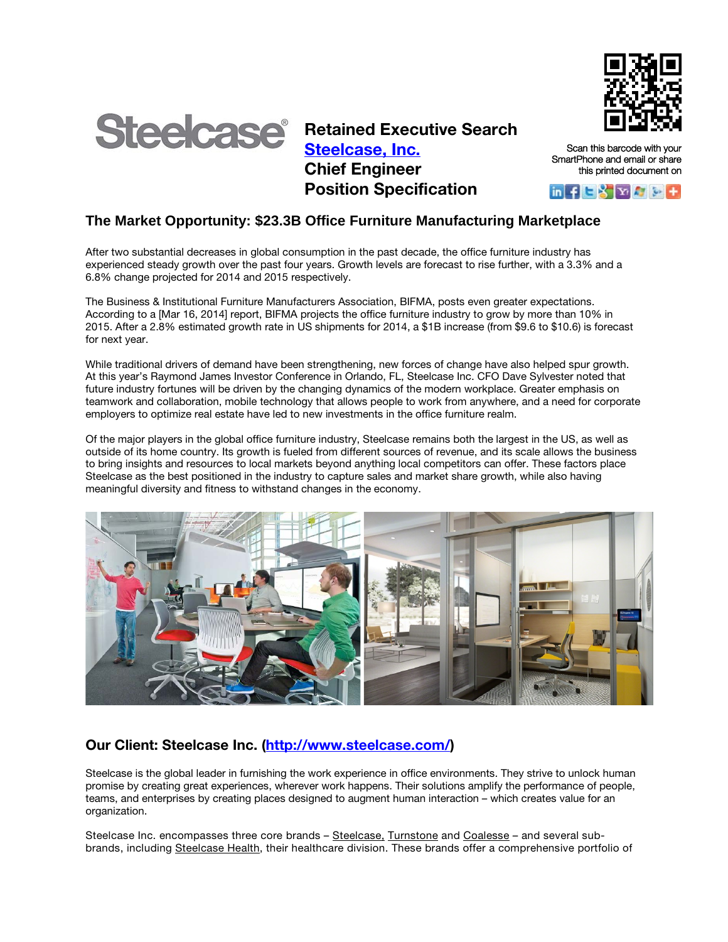



Retained Executive Search [Steelcase,](http://www.steelcase.com/) Inc. Chief Engineer Position Specification

Scan this barcode with your SmartPhone and email or share this printed document on



## **The Market Opportunity: \$23.3B Office Furniture Manufacturing Marketplace**

After two substantial decreases in global consumption in the past decade, the office furniture industry has experienced steady growth over the past four years. Growth levels are forecast to rise further, with a 3.3% and a 6.8% change projected for 2014 and 2015 respectively.

The Business & Institutional Furniture Manufacturers Association, BIFMA, posts even greater expectations. According to a [Mar 16, 2014] report, BIFMA projects the office furniture industry to grow by more than 10% in 2015. After a 2.8% estimated growth rate in US shipments for 2014, a \$1B increase (from \$9.6 to \$10.6) is forecast for next year.

While traditional drivers of demand have been strengthening, new forces of change have also helped spur growth. At this year's Raymond James Investor Conference in Orlando, FL, Steelcase Inc. CFO Dave Sylvester noted that future industry fortunes will be driven by the changing dynamics of the modern workplace. Greater emphasis on teamwork and collaboration, mobile technology that allows people to work from anywhere, and a need for corporate employers to optimize real estate have led to new investments in the office furniture realm.

Of the major players in the global office furniture industry, Steelcase remains both the largest in the US, as well as outside of its home country. Its growth is fueled from different sources of revenue, and its scale allows the business to bring insights and resources to local markets beyond anything local competitors can offer. These factors place Steelcase as the best positioned in the industry to capture sales and market share growth, while also having meaningful diversity and fitness to withstand changes in the economy.



# Our Client: Steelcase Inc. [\(http://www.steelcase.com/\)](http://www.steelcase.com/)

Steelcase is the global leader in furnishing the work experience in office environments. They strive to unlock human promise by creating great experiences, wherever work happens. Their solutions amplify the performance of people, teams, and enterprises by creating places designed to augment human interaction – which creates value for an organization.

Steelcase Inc. encompasses three core brands - [Steelcase,](http://www.steelcase.com/) [Turnstone](http://www.myturnstone.com/) and [Coalesse](http://coalesse.com/) - and several subbrands, including [Steelcase](http://steelcasehealth.com/) Health, their healthcare division. These brands offer a comprehensive portfolio of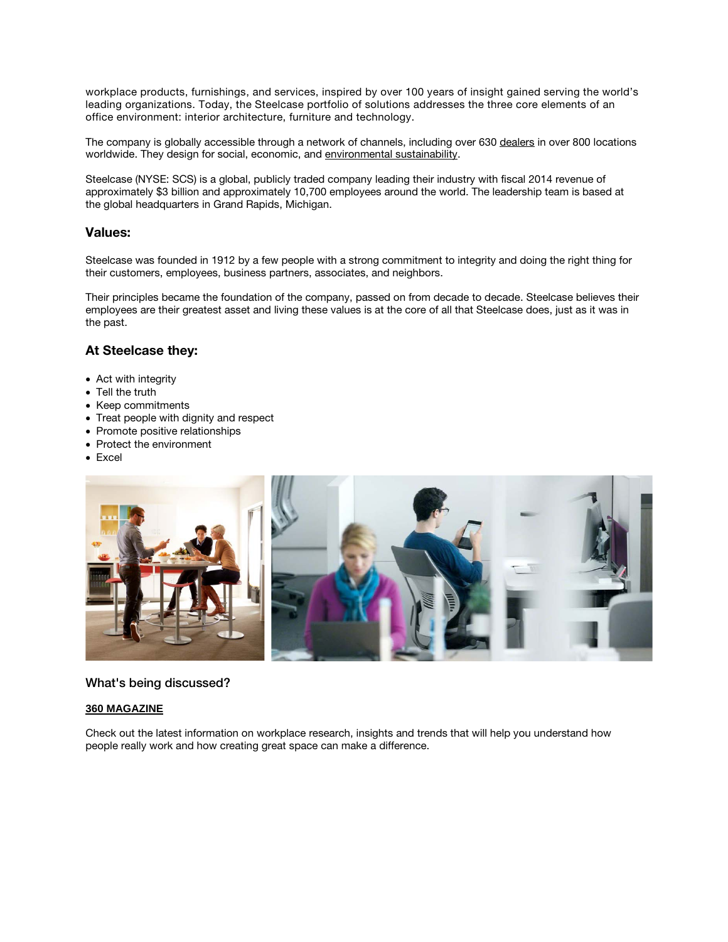workplace products, furnishings, and services, inspired by over 100 years of insight gained serving the world's leading organizations. Today, the Steelcase portfolio of solutions addresses the three core elements of an office environment: interior architecture, furniture and technology.

The company is globally accessible through a network of channels, including over 630 [dealers](http://www.steelcase.com/en/Shop/dealers/Pages/overview.aspx) in over 800 locations worldwide. They design for social, economic, and [environmental](http://www.steelcase.com/en/Company/sustainability/Pages/Our-Perspective.aspx) sustainability.

Steelcase (NYSE: SCS) is a global, publicly traded company leading their industry with fiscal 2014 revenue of approximately \$3 billion and approximately 10,700 employees around the world. The leadership team is based at the global headquarters in Grand Rapids, Michigan.

### Values:

Steelcase was founded in 1912 by a few people with a strong commitment to integrity and doing the right thing for their customers, employees, business partners, associates, and neighbors.

Their principles became the foundation of the company, passed on from decade to decade. Steelcase believes their employees are their greatest asset and living these values is at the core of all that Steelcase does, just as it was in the past.

## At Steelcase they:

- Act with integrity
- Tell the truth
- Keep commitments
- Treat people with dignity and respect
- Promote positive relationships
- Protect the environment
- Excel



### What's being discussed?

#### **[360 MAGAZINE](http://360.steelcase.com/)**

Check out the latest information on workplace research, insights and trends that will help you understand how people really work and how creating great space can make a difference.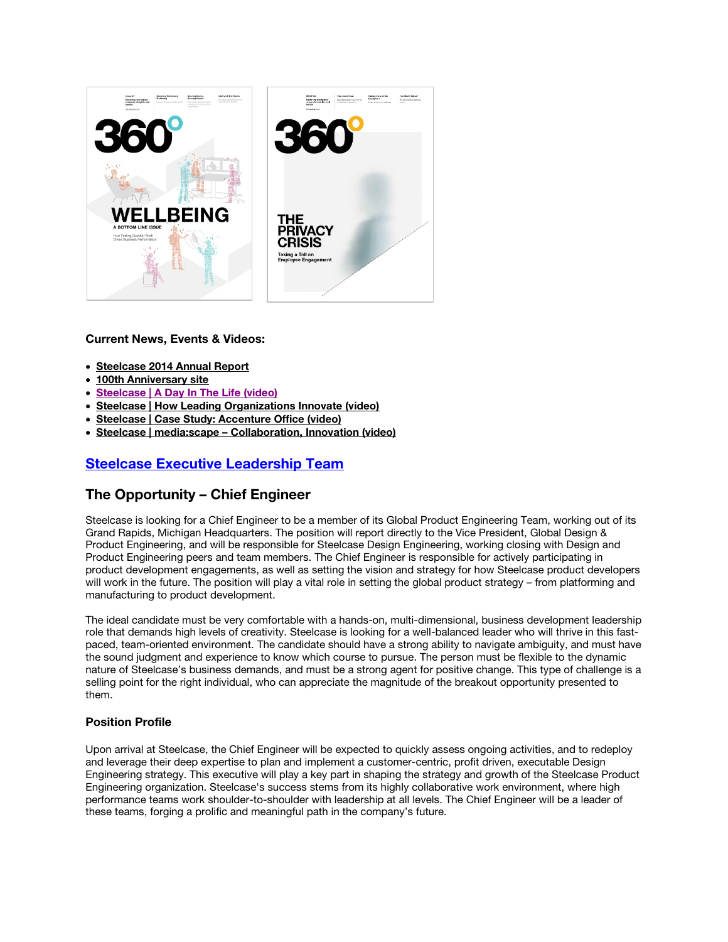

### Current News, Events & Videos:

- [Steelcase 2014 Annual Report](http://ir.steelcase.com/common/download/download.cfm?companyid=ABEA-29LUIH&fileid=760096&filekey=4466A321-CE12-4C88-A18E-C13CE5F0CC9C&filename=2014_Annual_Report_e-copy.pdf)
- [100th Anniversary site](http://100.steelcase.com/)
- [Steelcase | A Day In The Life \(video\)](https://www.youtube.com/watch?v=SUoiZEOJADs)
- [Steelcase | How Leading Organizations Innovate \(video\)](https://www.youtube.com/watch?v=yyPQP9o-7Tc)
- [Steelcase | Case Study: Accenture Office \(video\)](https://vimeo.com/12593594)
- Steelcase | media:scape [Collaboration, Innovation \(video\)](https://www.youtube.com/watch?v=iMF0kBoL9_w&list=PLC79557CC9A9C50DE)

# [Steelcase Executive Leadership Team](http://ir.steelcase.com/management.cfm)

## The Opportunity – Chief Engineer

Steelcase is looking for a Chief Engineer to be a member of its Global Product Engineering Team, working out of its Grand Rapids, Michigan Headquarters. The position will report directly to the Vice President, Global Design & Product Engineering, and will be responsible for Steelcase Design Engineering, working closing with Design and Product Engineering peers and team members. The Chief Engineer is responsible for actively participating in product development engagements, as well as setting the vision and strategy for how Steelcase product developers will work in the future. The position will play a vital role in setting the global product strategy – from platforming and manufacturing to product development.

The ideal candidate must be very comfortable with a hands-on, multi-dimensional, business development leadership role that demands high levels of creativity. Steelcase is looking for a well-balanced leader who will thrive in this fastpaced, team-oriented environment. The candidate should have a strong ability to navigate ambiguity, and must have the sound judgment and experience to know which course to pursue. The person must be flexible to the dynamic nature of Steelcase's business demands, and must be a strong agent for positive change. This type of challenge is a selling point for the right individual, who can appreciate the magnitude of the breakout opportunity presented to them.

### Position Profile

Upon arrival at Steelcase, the Chief Engineer will be expected to quickly assess ongoing activities, and to redeploy and leverage their deep expertise to plan and implement a customer-centric, profit driven, executable Design Engineering strategy. This executive will play a key part in shaping the strategy and growth of the Steelcase Product Engineering organization. Steelcase's success stems from its highly collaborative work environment, where high performance teams work shoulder-to-shoulder with leadership at all levels. The Chief Engineer will be a leader of these teams, forging a prolific and meaningful path in the company's future.